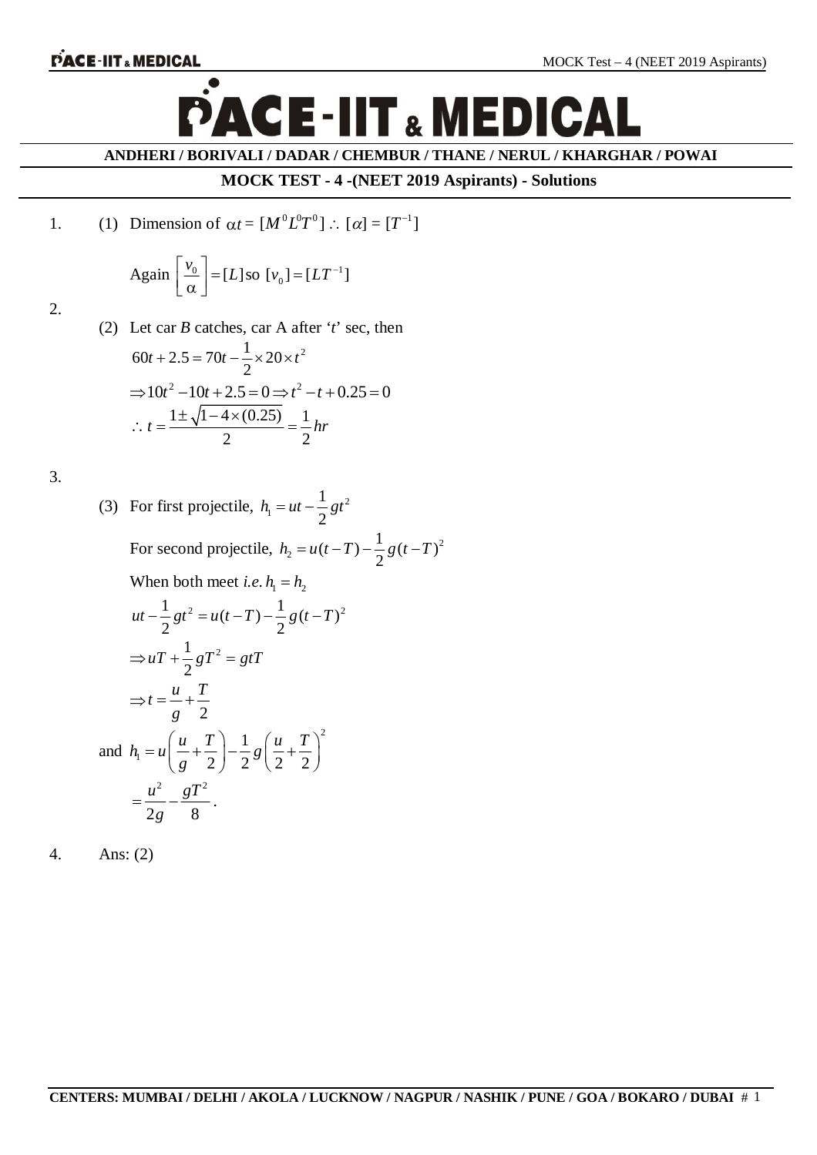

**ANDHERI / BORIVALI / DADAR / CHEMBUR / THANE / NERUL / KHARGHAR / POWAI**

### **MOCK TEST - 4 -(NEET 2019 Aspirants) - Solutions**

1. (1) Dimension of 
$$
\alpha t = [M^0 L^0 T^0] :: [\alpha] = [T^{-1}]
$$

Again 
$$
\left[\frac{v_0}{\alpha}\right] = [L] \text{ so } [v_0] = [LT^{-1}]
$$

2.

(2) Let car *B* catches, car A after '*t*' sec, then  
\n
$$
60t + 2.5 = 70t - \frac{1}{2} \times 20 \times t^2
$$
\n
$$
\Rightarrow 10t^2 - 10t + 2.5 = 0 \Rightarrow t^2 - t + 0.25 = 0
$$
\n
$$
\therefore t = \frac{1 \pm \sqrt{1 - 4 \times (0.25)}}{2} = \frac{1}{2} hr
$$

3.

(3) For first projectile, 
$$
h_1 = ut - \frac{1}{2}gt^2
$$
  
\nFor second projectile,  $h_2 = u(t-T) - \frac{1}{2}g(t-T)^2$   
\nWhen both meet *i.e.*  $h_1 = h_2$   
\n
$$
ut - \frac{1}{2}gt^2 = u(t-T) - \frac{1}{2}g(t-T)^2
$$
\n
$$
\Rightarrow uT + \frac{1}{2}gT^2 = gtT
$$
\n
$$
\Rightarrow t = \frac{u}{g} + \frac{T}{2}
$$
\nand  $h_1 = u\left(\frac{u}{g} + \frac{T}{2}\right) - \frac{1}{2}g\left(\frac{u}{2} + \frac{T}{2}\right)^2$   
\n
$$
= \frac{u^2}{2g} - \frac{gT^2}{8}.
$$

4. Ans: (2)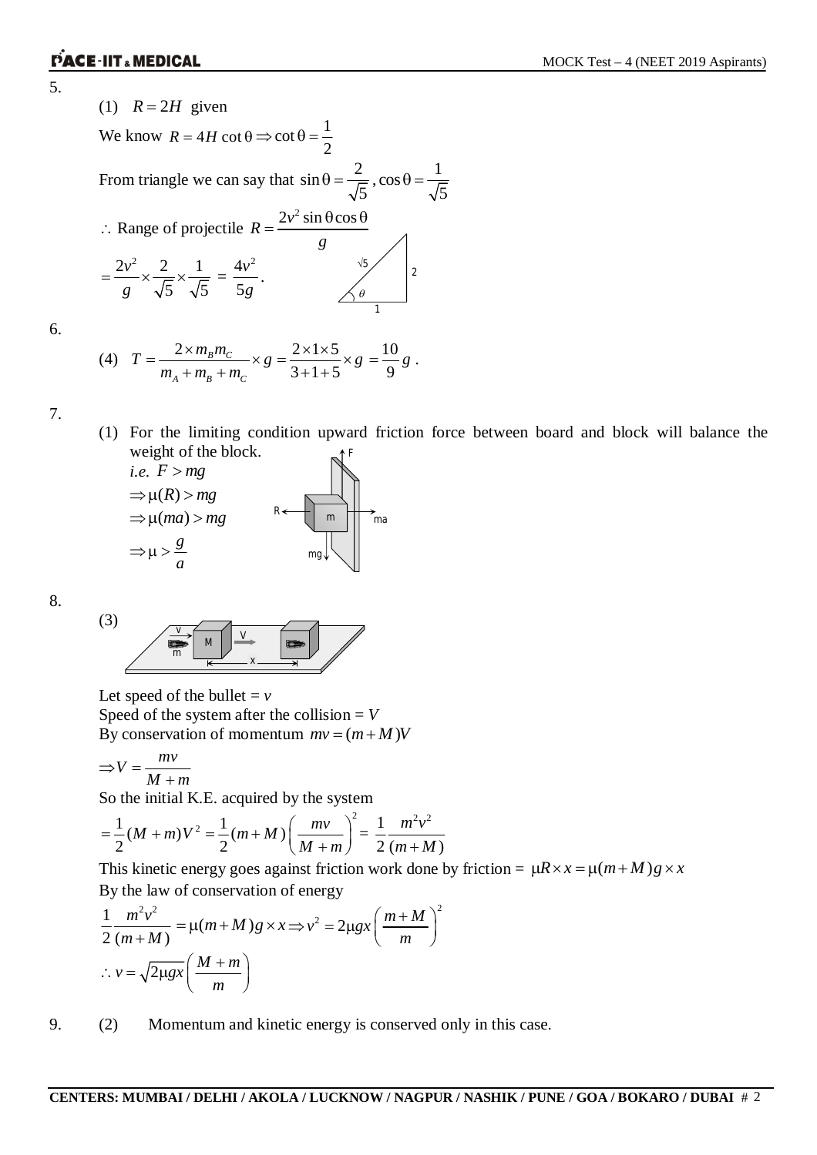5.

(1)  $R = 2H$  given We know  $R = 4H \cot \theta \Rightarrow \cot \theta = \frac{1}{2}$ 2  $\theta = \frac{1}{2}$ From triangle we can say that  $\sin \theta = \frac{2}{\pi}$ 5  $\theta = \frac{2}{\sqrt{2}}$ ,  $\cos \theta = \frac{1}{\sqrt{2}}$ 5  $\theta = -$  Range of projectile  $R = \frac{2v^2 \sin \theta \cos \theta}{2}$ *g*  $=\frac{2v^2\sin\theta\cos\theta}{2}$  $=\frac{2v^2}{x} \times \frac{2}{\sqrt{2}} \times \frac{1}{\sqrt{2}}$ g  $\sqrt{5}$   $\sqrt{5}$  5g  $\frac{4v^2}{5}$ . 1 2  $\theta$ 

(4) 
$$
T = \frac{2 \times m_B m_C}{m_A + m_B + m_C} \times g = \frac{2 \times 1 \times 5}{3 + 1 + 5} \times g = \frac{10}{9} g.
$$

7.

6.

(1) For the limiting condition upward friction force between board and block will balance the weight of the block. *F*

$$
i.e. F > mg
$$
  
\n
$$
\Rightarrow \mu(R) > mg
$$
  
\n
$$
\Rightarrow \mu(ma) > mg
$$
  
\n
$$
\Rightarrow \mu > \frac{g}{a}
$$
  
\n
$$
mg
$$

8.

$$
\begin{array}{c|c}\n\hline\n\end{array}
$$
\n
$$
\begin{array}{c|c}\n\hline\n\end{array}
$$
\n
$$
\begin{array}{c|c}\n\hline\n\end{array}
$$
\n
$$
\begin{array}{c}\n\hline\n\end{array}
$$

Let speed of the bullet  $= v$ Speed of the system after the collision  $= V$ By conservation of momentum  $mv = (m + M)V$ 

$$
\Rightarrow V = \frac{mv}{M+m}
$$

So the initial K.E. acquired by the system

$$
= \frac{1}{2}(M+m)V^{2} = \frac{1}{2}(m+M)\left(\frac{mv}{M+m}\right)^{2} = \frac{1}{2}\frac{m^{2}v^{2}}{(m+M)}
$$

This kinetic energy goes against friction work done by friction =  $\mu R \times x = \mu (m + M)g \times x$ By the law of conservation of energy

$$
\frac{1}{2} \frac{m^2 v^2}{(m+M)} = \mu(m+M)g \times x \Longrightarrow v^2 = 2\mu gx \left(\frac{m+M}{m}\right)^2
$$
  
 
$$
\therefore v = \sqrt{2\mu gx} \left(\frac{M+m}{m}\right)
$$

9. (2) Momentum and kinetic energy is conserved only in this case.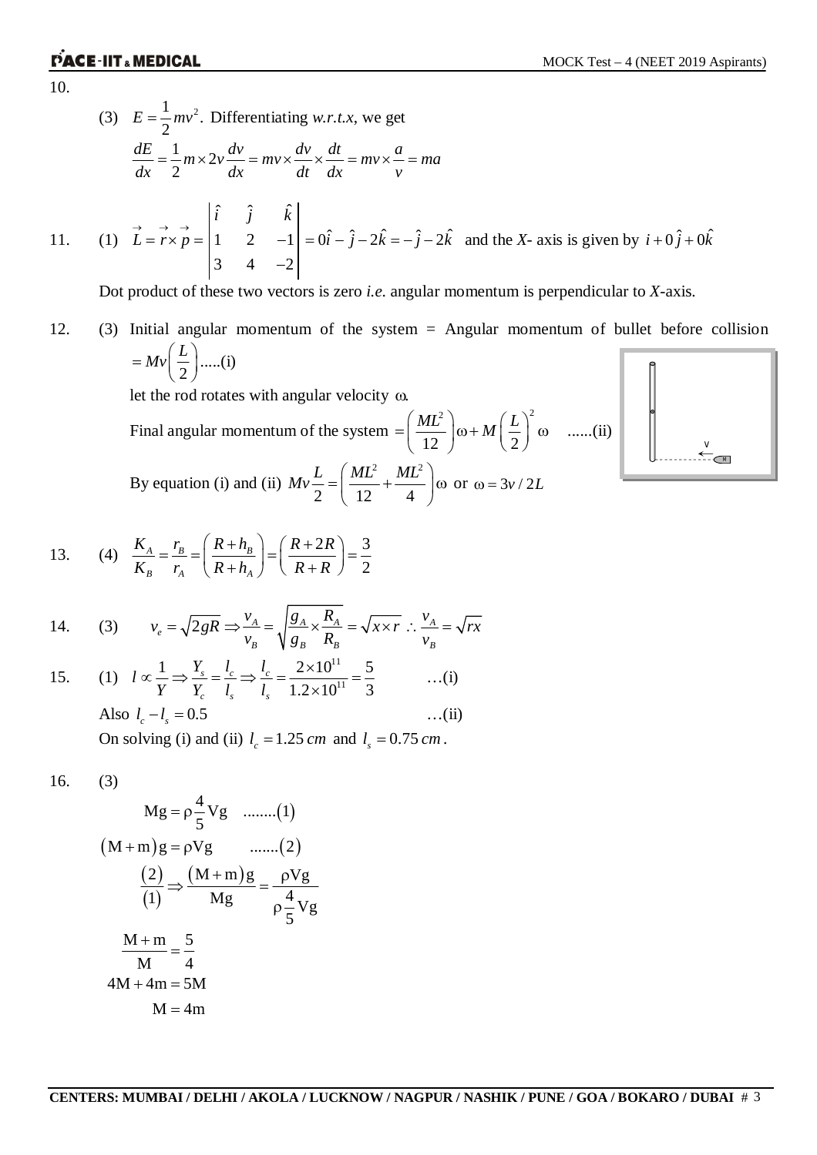10.

11. (1) *L r p*

(3) 
$$
E = \frac{1}{2}mv^2
$$
. Differentiating w.r.t.x, we get  
\n
$$
\frac{dE}{dx} = \frac{1}{2}m \times 2v \frac{dv}{dx} = mv \times \frac{dv}{dt} \times \frac{dt}{dx} = mv \times \frac{a}{v} = ma
$$
\n(1)  $\vec{L} = \vec{r} \times \vec{p} = \begin{vmatrix} \hat{i} & \hat{j} & \hat{k} \\ 1 & 2 & -1 \\ 3 & 4 & -2 \end{vmatrix} = 0\hat{i} - \hat{j} - 2\hat{k} = -\hat{j} - 2\hat{k}$  and the X-axis is given by  $i + 0\hat{j} + 0\hat{k}$ 

Dot product of these two vectors is zero *i.e.* angular momentum is perpendicular to *X-*axis.

12. (3) Initial angular momentum of the system = Angular momentum of bullet before collision 2  $= Mv\left(\frac{L}{2}\right)$ .....(i) let the rod rotates with angular velocity  $\omega$ . 2)  $(\mathbf{I})^2$ 

Final angular momentum of the system  $12 \quad \begin{array}{ccc} 12 & 2 \end{array}$  $\left(\frac{ML^2}{2}\right)\omega + M\left(\frac{L}{2}\right)^2$  $=\left(\frac{mE}{12}\right)\omega + M\left(\frac{E}{2}\right)$  (0 ......(ii) By equation (i) and (ii) 2  $MT^2$  $Mv\frac{L}{2} = \left(\frac{ML^2}{12} + \frac{ML^2}{4}\right)\alpha$  $=\left(\frac{mE}{12} + \frac{mE}{4}\right)$  (a) or  $\omega = 3v/2L$ 

2 12 4

*M v*

13. (4) 
$$
\frac{K_A}{K_B} = \frac{r_B}{r_A} = \left(\frac{R + h_B}{R + h_A}\right) = \left(\frac{R + 2R}{R + R}\right) = \frac{3}{2}
$$

14. (3) 
$$
v_e = \sqrt{2gR} \Rightarrow \frac{v_A}{v_B} = \sqrt{\frac{g_A}{g_B} \times \frac{R_A}{R_B}} = \sqrt{x \times r} \therefore \frac{v_A}{v_B} = \sqrt{rx}
$$

15. (1) 
$$
l \propto \frac{1}{Y} \Rightarrow \frac{Y_s}{Y_c} = \frac{l_c}{l_s} \Rightarrow \frac{l_c}{l_s} = \frac{2 \times 10^{11}}{1.2 \times 10^{11}} = \frac{5}{3}
$$
 ...(i)  
Also  $l_c - l_s = 0.5$  ...(ii)

On solving (i) and (ii)  $l_c = 1.25$  *cm* and  $l_s = 0.75$  *cm*.

$$
16. (3)
$$

$$
Mg = \rho \frac{4}{5}Vg \quad \dots \dots (1)
$$
  
\n
$$
(M+m)g = \rho Vg \quad \dots \dots (2)
$$
  
\n
$$
\frac{(2)}{(1)} \Rightarrow \frac{(M+m)g}{Mg} = \frac{\rho Vg}{\rho \frac{4}{5}Vg}
$$
  
\n
$$
\frac{M+m}{M} = \frac{5}{4}
$$
  
\n
$$
4M + 4m = 5M
$$
  
\n
$$
M = 4m
$$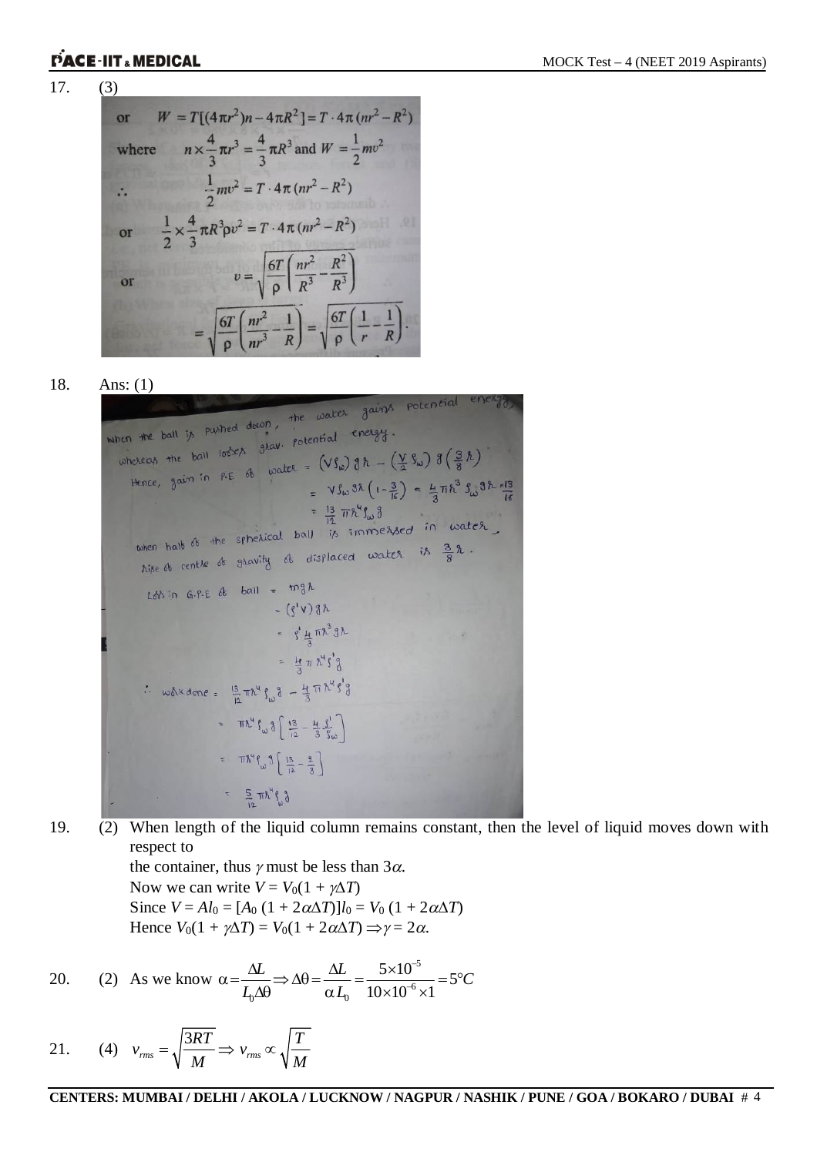$$
17. (3)
$$

or 
$$
W = T[(4\pi r^2)n - 4\pi R^2] = T \cdot 4\pi (nr^2 - R^2)
$$
  
\nwhere  $n \times \frac{4}{3}\pi r^3 = \frac{4}{3}\pi R^3$  and  $W = \frac{1}{2}mv^2$   
\n $\therefore \frac{1}{2}mv^2 = T \cdot 4\pi (nr^2 - R^2)$   
\nor  $\frac{1}{2} \times \frac{4}{3}\pi R^3 \rho v^2 = T \cdot 4\pi (nr^2 - R^2)$   
\nor  $v = \sqrt{\frac{6T}{\rho} \left(\frac{nr^2}{R^3} - \frac{R^2}{R^3}\right)}$   
\n $= \sqrt{\frac{6T}{\rho} \left(\frac{nr^2}{nr^3} - \frac{1}{R}\right)} = \sqrt{\frac{6T}{\rho} \left(\frac{1}{r} - \frac{1}{R}\right)}$ .

18. Ans: (1)<br>when the ball is pushed down, the water gains potential then the ball is pushed down, the water energy.<br>whereas the ball lookes grav. potential energy. hereof the ball lockes grav. Potential 00<br>Hence, gain in RE of water =  $(Vf_{\omega}) \frac{3}{2} \hbar - (\frac{V}{2} f_{\omega}) \frac{3}{2} (\frac{3}{8} \hbar)$ <br> $- Vf_{\omega} \frac{3}{2} (\frac{1}{2} - \frac{3}{2}) = \frac{1}{2} \pi \hbar^3 S_0^3$ =  $\sqrt{3}\omega^{3\lambda} (1-\frac{3}{16}) = \frac{4}{3}\pi h^3 S_{\omega}^{3\lambda} \frac{s^{13}}{16}$ =  $\frac{13}{12} \pi h^4 \int_{\omega}^{\pi} \frac{3}{10} \omega$ <br>when half it the spherical ball is immersed in water when half of the sphericum - isoplaced water is  $\frac{3}{8}$  2. Loss in  $G.P.E$  of ball =  $mgh$  $=(g'v)g\hbar$ =  $\int_{\frac{1}{3}}^{1} \frac{1}{3} \pi \lambda^3 3 \lambda$ =  $\frac{11}{3} \pi \lambda^4 \zeta^3$ : wordone =  $\frac{13}{12} \pi h^4 f^3 + \frac{11}{3} \pi h^4 f^3$ =  $\pi \lambda^4 \int_{\omega} \frac{3}{4} \left[ \frac{13}{12} - \frac{11}{3} \frac{1}{3} \right]$ =  $\pi \hbar^4 f_{\omega} \partial \left[ \frac{13}{12} - \frac{9}{3} \right]$  $=$   $\frac{5}{10} \pi \lambda^4 \zeta_0$ 

19. (2) When length of the liquid column remains constant, then the level of liquid moves down with respect to

> the container, thus  $\gamma$  must be less than  $3\alpha$ . Now we can write  $V = V_0(1 + \gamma \Delta T)$ Since  $V = A l_0 = [A_0 (1 + 2\alpha \Delta T)] l_0 = V_0 (1 + 2\alpha \Delta T)$ Hence  $V_0(1 + \gamma \Delta T) = V_0(1 + 2\alpha \Delta T) \Rightarrow \gamma = 2\alpha$ .

20. (2) As we know 
$$
\alpha = \frac{\Delta L}{L_0 \Delta \theta} \Rightarrow \Delta \theta = \frac{\Delta L}{\alpha L_0} = \frac{5 \times 10^{-5}}{10 \times 10^{-6} \times 1} = 5^{\circ}C
$$

21. (4) 
$$
v_{rms} = \sqrt{\frac{3RT}{M}} \Rightarrow v_{rms} \propto \sqrt{\frac{T}{M}}
$$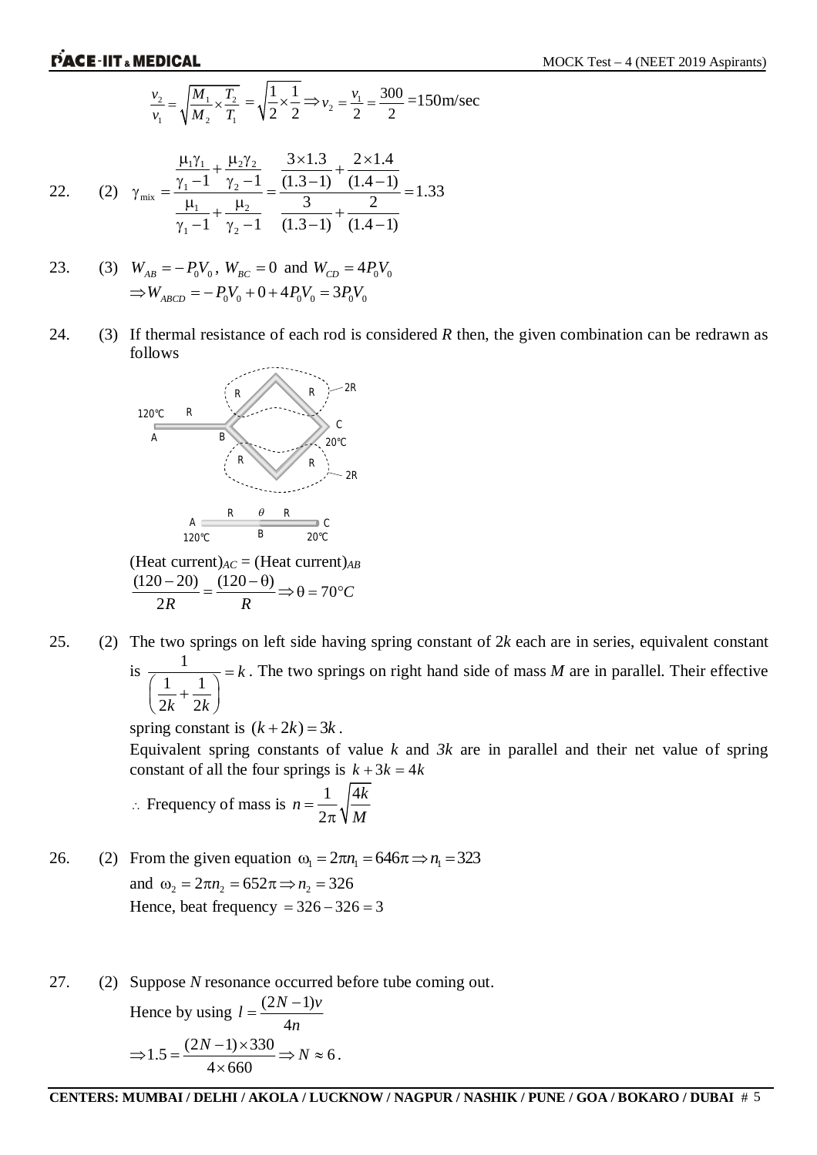$$
\frac{v_2}{v_1} = \sqrt{\frac{M_1}{M_2} \times \frac{T_2}{T_1}} = \sqrt{\frac{1}{2} \times \frac{1}{2}} \Longrightarrow v_2 = \frac{v_1}{2} = \frac{300}{2} = 150 \text{ m/sec}
$$

22. (2) 
$$
\gamma_{\text{mix}} = \frac{\frac{\mu_1 \gamma_1}{\gamma_1 - 1} + \frac{\mu_2 \gamma_2}{\gamma_2 - 1}}{\frac{\mu_1}{\gamma_1 - 1} + \frac{\mu_2}{\gamma_2 - 1}} = \frac{\frac{3 \times 1.3}{(1.3 - 1)} + \frac{2 \times 1.4}{(1.4 - 1)}}{\frac{3}{(1.3 - 1)} + \frac{2}{(1.4 - 1)}} = 1.33
$$

23. (3) 
$$
W_{AB} = -P_0V_0
$$
,  $W_{BC} = 0$  and  $W_{CD} = 4P_0V_0$   
\n $\Rightarrow W_{ABCD} = -P_0V_0 + 0 + 4P_0V_0 = 3P_0V_0$ 

24. (3) If thermal resistance of each rod is considered *R* then, the given combination can be redrawn as follows



 $(Heat current)_{AC} = (Heat current)_{AB}$  $(120 - 20)$   $(120 - \theta)$ 2*R R*  $\frac{(120 - \theta)}{2} = \frac{(120 - \theta)}{2} \Rightarrow \theta = 70^{\circ}C$ 

25. (2) The two springs on left side having spring constant of 2*k* each are in series, equivalent constant is  $\frac{1}{\sqrt{1}}$  $1 \quad 1$  $2k-2k$ *k*  $k-2k$  $=$  $\left(\frac{1}{2k}+\frac{1}{2k}\right)$ . The two springs on right hand side of mass *M* are in parallel. Their effective

spring constant is  $(k+2k) = 3k$ .

Equivalent spring constants of value *k* and *3k* are in parallel and their net value of spring constant of all the four springs is  $k + 3k = 4k$ 

$$
\therefore \text{ Frequency of mass is } n = \frac{1}{2\pi} \sqrt{\frac{4k}{M}}
$$

26. (2) From the given equation  $\omega_1 = 2\pi n_1 = 646\pi \Rightarrow n_1 = 323$ and  $\omega_2 = 2\pi n_2 = 652\pi \Rightarrow n_2 = 326$ Hence, beat frequency  $= 326 - 326 = 3$ 

27. (2) Suppose *N* resonance occurred before tube coming out.

Hence by using 
$$
l = \frac{(2N-1)v}{4n}
$$
  
\n
$$
\Rightarrow 1.5 = \frac{(2N-1) \times 330}{4 \times 660} \Rightarrow N \approx 6.
$$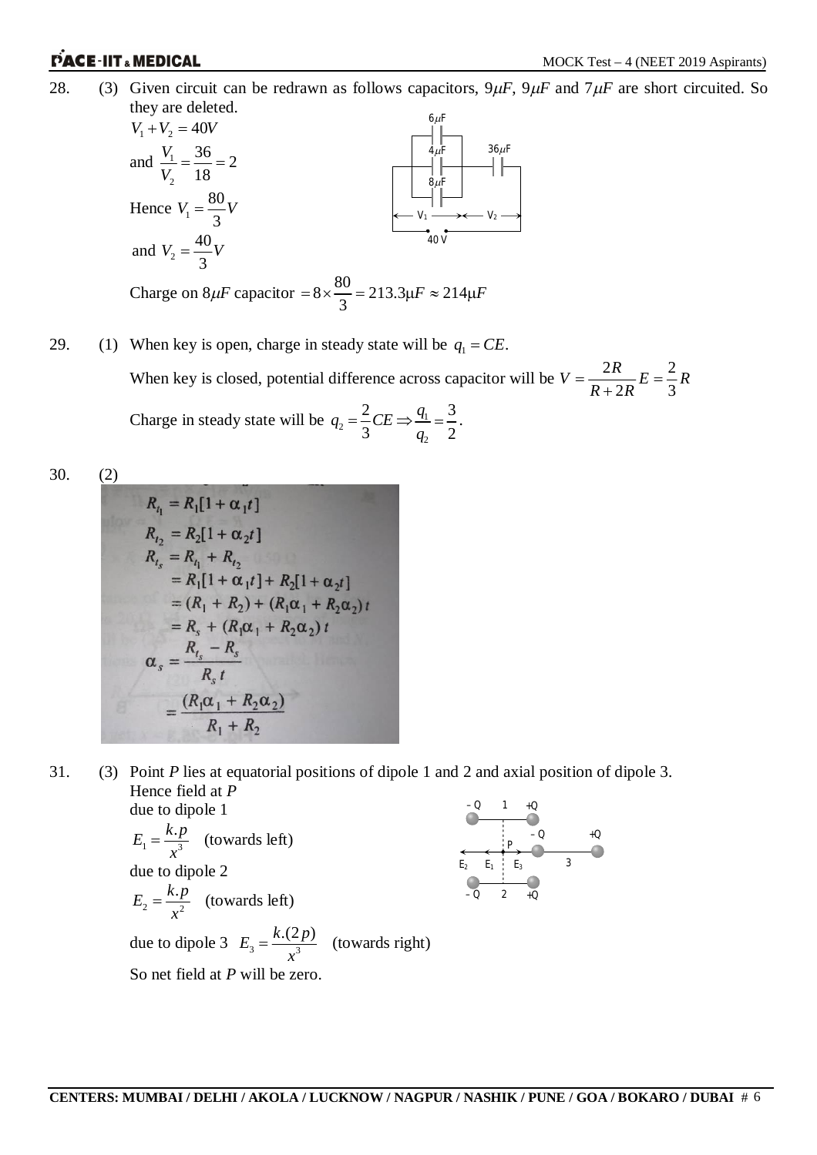28. (3) Given circuit can be redrawn as follows capacitors,  $9\mu$ F,  $9\mu$ F and  $7\mu$ F are short circuited. So they are deleted.



29. (1) When key is open, charge in steady state will be  $q_1 = CE$ . When key is closed, potential difference across capacitor will be  $V = \frac{2R}{R} E = \frac{2}{3}$ .  $2R$  3  $V = \frac{2R}{R}E = \frac{2}{3}R$  $R+2R$  $=\frac{2R}{R}E=\frac{2}{3}$  $^{+}$ Charge in steady state will be  $q_2 = \frac{2}{3}$ 3  $q_2 = \frac{2}{3}CE \Rightarrow \frac{q_1}{q_2}$ 3 2 *q q*  $=\frac{3}{2}$ .

2

30. (2)

$$
R_{i_1} = R_1[1 + \alpha_1 t]
$$
  
\n
$$
R_{i_2} = R_2[1 + \alpha_2 t]
$$
  
\n
$$
R_{i_s} = R_{i_1} + R_{i_2}
$$
  
\n
$$
= R_1[1 + \alpha_1 t] + R_2[1 + \alpha_2 t]
$$
  
\n
$$
= (R_1 + R_2) + (R_1\alpha_1 + R_2\alpha_2) t
$$
  
\n
$$
= R_s + (R_1\alpha_1 + R_2\alpha_2) t
$$
  
\n
$$
\alpha_s = \frac{R_{i_s} - R_s}{R_s t}
$$
  
\n
$$
= \frac{(R_1\alpha_1 + R_2\alpha_2)}{R_1 + R_2}
$$

31. (3) Point *P* lies at equatorial positions of dipole 1 and 2 and axial position of dipole 3. Hence field at *P* due to dipole 1 – *Q* +*Q* 1

$$
E_1 = \frac{k \cdot p}{x^3}
$$
 (towards left)  
due to dipole 2  

$$
E_2 = \frac{k \cdot p}{x^2}
$$
 (towards left)  
due to dipole 3  $E_3 = \frac{k \cdot (2p)}{x^3}$  (towards right)  
So net field at *P* will be zero.

**CENTERS: MUMBAI / DELHI / AKOLA / LUCKNOW / NAGPUR / NASHIK / PUNE / GOA / BOKARO / DUBAI** # 6

*P*

2

– *Q* +*Q*

3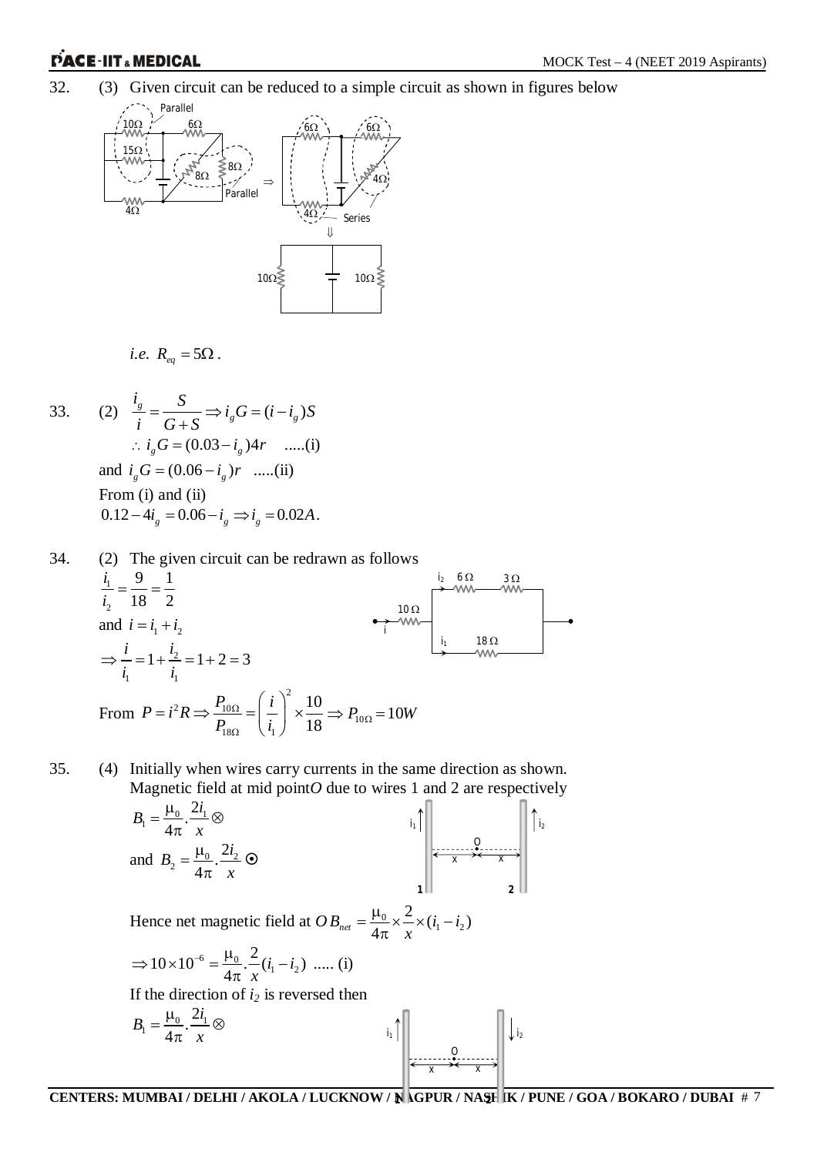32. (3) Given circuit can be reduced to a simple circuit as shown in figures below



i.e. 
$$
R_{eq} = 5\Omega
$$
.

33. (2) 
$$
\frac{i_s}{i} = \frac{S}{G+S} \Rightarrow i_s G = (i - i_s)S
$$
  
\n $\therefore i_s G = (0.03 - i_s)4r$  ......(i)  
\nand  $i_s G = (0.06 - i_s)r$  ......(ii)  
\nFrom (i) and (ii)  
\n $0.12 - 4i_s = 0.06 - i_s \Rightarrow i_s = 0.02A$ .

34. (2) The given circuit can be redrawn as follows  
\n
$$
\frac{i_1}{i_2} = \frac{9}{18} = \frac{1}{2}
$$
\nand  $i = i_1 + i_2$   
\n
$$
\Rightarrow \frac{i}{i_1} = 1 + \frac{i_2}{i_1} = 1 + 2 = 3
$$
\nFrom  $P = i^2 R \Rightarrow \frac{P_{10\Omega}}{P_{18\Omega}} = \left(\frac{i}{i_1}\right)^2 \times \frac{10}{18} \Rightarrow P_{10\Omega} = 10W$ 

35. (4) Initially when wires carry currents in the same direction as shown. Magnetic field at mid point*O* due to wires 1 and 2 are respectively

$$
B_1 = \frac{\mu_0}{4\pi} \cdot \frac{2i_1}{x} \otimes
$$
  
and 
$$
B_2 = \frac{\mu_0}{4\pi} \cdot \frac{2i_2}{x} \otimes
$$

Hence net magnetic field at  $OB_{net} = \frac{\mu_0}{4\pi} \times \frac{2}{\pi} \times (i_1 - i_2)$  $2\lambda(i_1 - i_2)$  $B_{net} = \frac{\mu_0}{4\pi} \times \frac{2}{x} \times (i_1 - i_2)$  $=\frac{\mu_0}{i} \times \frac{2}{i} \times (i_1 - i$  $\pi$ 

$$
\Rightarrow 10 \times 10^{-6} = \frac{\mu_0}{4\pi} \cdot \frac{2}{x} (i_1 - i_2) \ \dots \ (i)
$$

If the direction of *i<sup>2</sup>* is reversed then

$$
B_1 = \frac{\mu_0}{4\pi} \cdot \frac{2i_1}{x} \otimes \qquad \qquad \qquad \text{if } \left| \begin{array}{c} 0 \\ \hline \frac{2}{x} + \frac{2}{x} \\ \hline \frac{2}{x} + \frac{2}{x} \\ \hline \frac{2}{x} + \frac{2}{x} \\ \hline \frac{2}{x} + \frac{2}{x} \\ \hline \frac{2}{x} + \frac{2}{x} \\ \hline \frac{2}{x} + \frac{2}{x} \\ \hline \frac{2}{x} + \frac{2}{x} \\ \hline \frac{2}{x} + \frac{2}{x} \\ \hline \frac{2}{x} + \frac{2}{x} \\ \hline \frac{2}{x} + \frac{2}{x} \\ \hline \frac{2}{x} + \frac{2}{x} \\ \hline \frac{2}{x} + \frac{2}{x} \\ \hline \frac{2}{x} + \frac{2}{x} \\ \hline \frac{2}{x} + \frac{2}{x} \\ \hline \frac{2}{x} + \frac{2}{x} \\ \hline \frac{2}{x} + \frac{2}{x} \\ \hline \frac{2}{x} + \frac{2}{x} \\ \hline \frac{2}{x} + \frac{2}{x} \\ \hline \frac{2}{x} + \frac{2}{x} \\ \hline \frac{2}{x} + \frac{2}{x} \\ \hline \frac{2}{x} + \frac{2}{x} \\ \hline \frac{2}{x} + \frac{2}{x} \\ \hline \frac{2}{x} + \frac{2}{x} \\ \hline \frac{2}{x} + \frac{2}{x} \\ \hline \frac{2}{x} + \frac{2}{x} \\ \hline \frac{2}{x} + \frac{2}{x} \\ \hline \frac{2}{x} + \frac{2}{x} \\ \hline \frac{2}{x} + \frac{2}{x} \\ \hline \frac{2}{x} + \frac{2}{x} \\ \hline \frac{2}{x} + \frac{2}{x} \\ \hline \frac{2}{x} + \frac{2}{x} \\ \hline \frac{2}{x} + \frac{2}{x} \\ \hline \frac{2}{x} + \frac{2}{x} \\ \hline \frac{2}{x} + \frac{2}{x} \\ \hline \frac{2}{x} + \frac{2}{x} \\ \hline \frac{2}{x} + \frac{2}{x} \\ \hline \frac{2}{x} + \frac{2}{x}
$$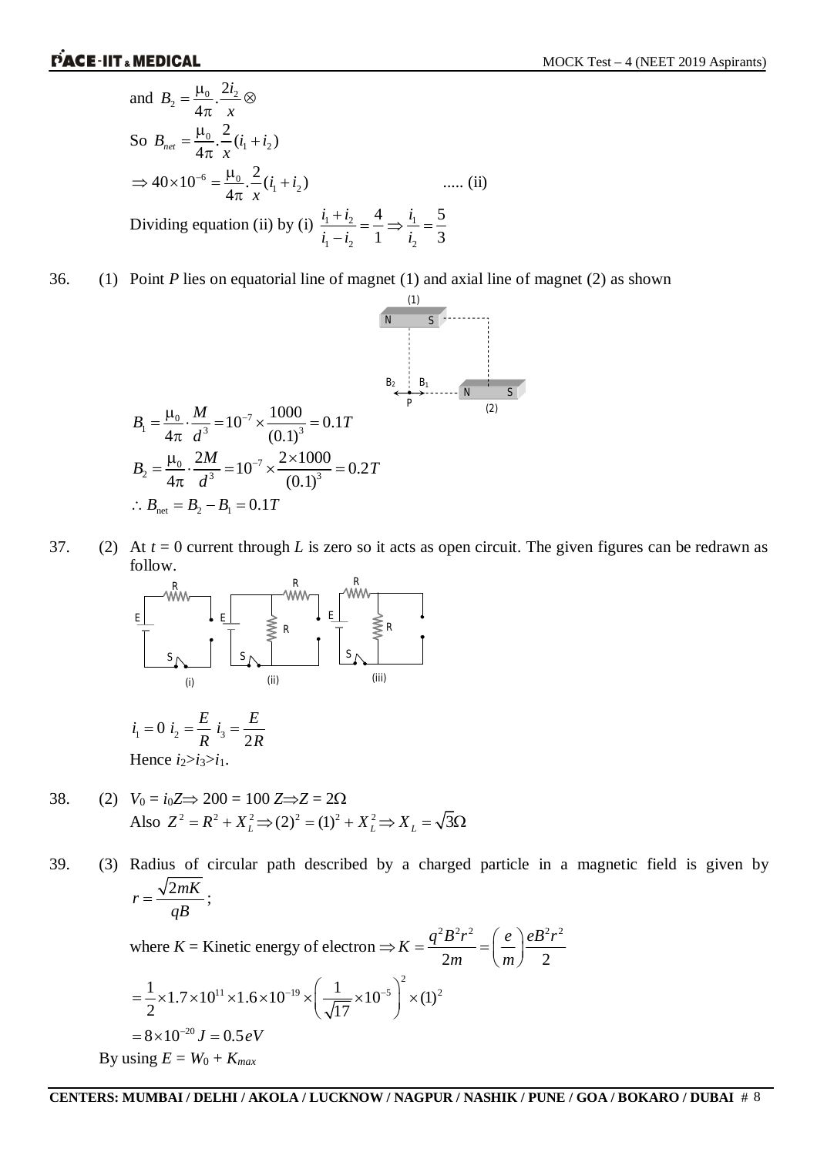and 
$$
B_2 = \frac{\mu_0}{4\pi} \cdot \frac{2i_2}{x} \otimes
$$
  
\nSo  $B_{net} = \frac{\mu_0}{4\pi} \cdot \frac{2}{x} (i_1 + i_2)$   
\n $\Rightarrow 40 \times 10^{-6} = \frac{\mu_0}{4\pi} \cdot \frac{2}{x} (i_1 + i_2)$  ...... (ii)  
\nDividing equation (ii) by (i)  $\frac{i_1 + i_2}{i_1 - i_2} = \frac{4}{1} \Rightarrow \frac{i_1}{i_2} = \frac{5}{3}$ 

36. (1) Point *P* lies on equatorial line of magnet (1) and axial line of magnet (2) as shown

0 7 1 3 3 <sup>1000</sup> 10 0.1 4 (0.1) *<sup>M</sup> B T d* 0 7 2 3 3 2 2 1000 10 0.2 4 (0.1) *<sup>M</sup> B T d* net 2 1 *B B B T* 0.1 (1) *N S N S* (2) *B*<sup>2</sup> *B*<sup>1</sup> *P*

37. (2) At *t* = 0 current through *L* is zero so it acts as open circuit. The given figures can be redrawn as follow.



$$
i_1 = 0 \quad i_2 = \frac{E}{R} \quad i_3 = \frac{E}{2R}
$$
  
Hence 
$$
i_2 > i_3 > i_1.
$$

38. (2)  $V_0 = i_0 Z \Rightarrow 200 = 100 Z \Rightarrow Z = 2\Omega$ Also  $Z^2 = R^2 + X_L^2 \implies (2)^2 = (1)^2 + X_L^2 \implies X_L = \sqrt{3\Omega}$ 

39. (3) Radius of circular path described by a charged particle in a magnetic field is given by  $r = \frac{\sqrt{2mK}}{R}$ *qB*  $=\frac{\sqrt{2m\lambda}}{2};$  $2 \mathbf{p}^2$   $\mathbf{p}^2$   $\mathbf{p}^2$   $\mathbf{p}^2$   $\mathbf{p}^2$  $K = \frac{q^2 B^2 r^2}{2} = \left(\frac{e}{r}\right) \frac{e B^2 r^2}{r^2}$ 

where 
$$
K =
$$
 Kinetic energy of electron  $\Rightarrow K = \frac{q^2 B^2 r^2}{2m} = \left(\frac{e}{m}\right) \frac{eB^2 r}{2}$   
\n
$$
= \frac{1}{2} \times 1.7 \times 10^{11} \times 1.6 \times 10^{-19} \times \left(\frac{1}{\sqrt{17}} \times 10^{-5}\right)^2 \times (1)^2
$$
\n
$$
= 8 \times 10^{-20} J = 0.5 eV
$$
\nBy using  $E = W_0 + K_{max}$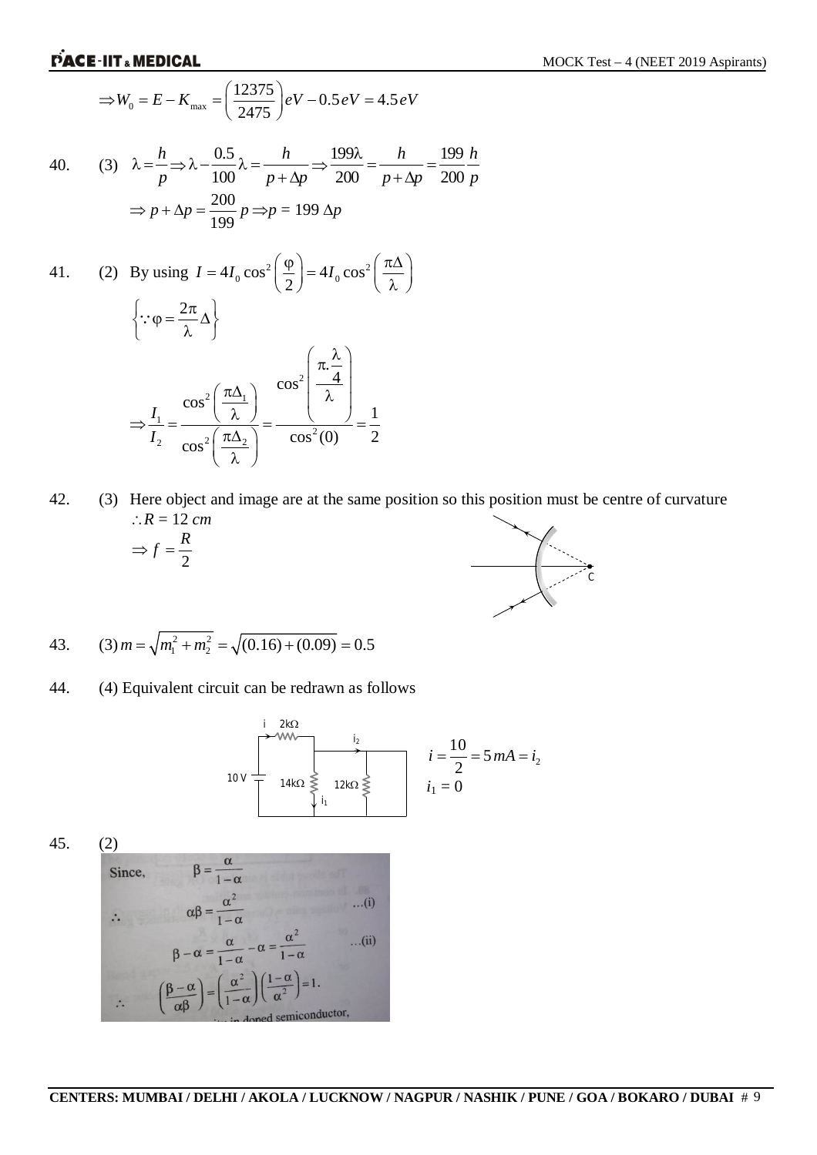$$
\Rightarrow W_0 = E - K_{\text{max}} = \left(\frac{12375}{2475}\right) eV - 0.5 eV = 4.5 eV
$$

40. (3) 
$$
\lambda = \frac{h}{p} \Rightarrow \lambda - \frac{0.5}{100} \lambda = \frac{h}{p + \Delta p} \Rightarrow \frac{199\lambda}{200} = \frac{h}{p + \Delta p} = \frac{199}{200} \frac{h}{p}
$$

$$
\Rightarrow p + \Delta p = \frac{200}{199} p \Rightarrow p = 199 \Delta p
$$

41. (2) By using 
$$
I = 4I_0 \cos^2\left(\frac{\varphi}{2}\right) = 4I_0 \cos^2\left(\frac{\pi \Delta}{\lambda}\right)
$$
  
\n
$$
\left\{\because \varphi = \frac{2\pi}{\lambda} \Delta \right\}
$$
\n
$$
\Rightarrow \frac{I_1}{I_2} = \frac{\cos^2\left(\frac{\pi \Delta_1}{\lambda}\right)}{\cos^2\left(\frac{\pi \Delta_2}{\lambda}\right)} = \frac{\cos^2\left(\frac{\pi \Delta}{\lambda}\right)}{\cos^2(0)} = \frac{1}{2}
$$

42. (3) Here object and image are at the same position so this position must be centre of curvature  $\therefore R = 12 \text{ cm}$ 



43. (3) 
$$
m = \sqrt{m_1^2 + m_2^2} = \sqrt{(0.16) + (0.09)} = 0.5
$$

44. (4) Equivalent circuit can be redrawn as follows

$$
i = \frac{10 \text{ V}}{2} = 5 \text{ mA} = i_2
$$
\n
$$
i_1 = \frac{10}{2} = 5 \text{ mA} = i_2
$$
\n
$$
i_1 = 0
$$

45. (2)

Since,  
\n
$$
\beta = \frac{\alpha}{1 - \alpha}
$$
\n
$$
\alpha \beta = \frac{\alpha^2}{1 - \alpha} \qquad ...(i)
$$
\n
$$
\beta - \alpha = \frac{\alpha}{1 - \alpha} - \alpha = \frac{\alpha^2}{1 - \alpha} \qquad ...(ii)
$$
\n
$$
\therefore \qquad \left(\frac{\beta - \alpha}{\alpha \beta}\right) = \left(\frac{\alpha^2}{1 - \alpha}\right) \left(\frac{1 - \alpha}{\alpha^2}\right) = 1.
$$
\n
$$
\therefore \qquad (i) \text{ and one denominator,}
$$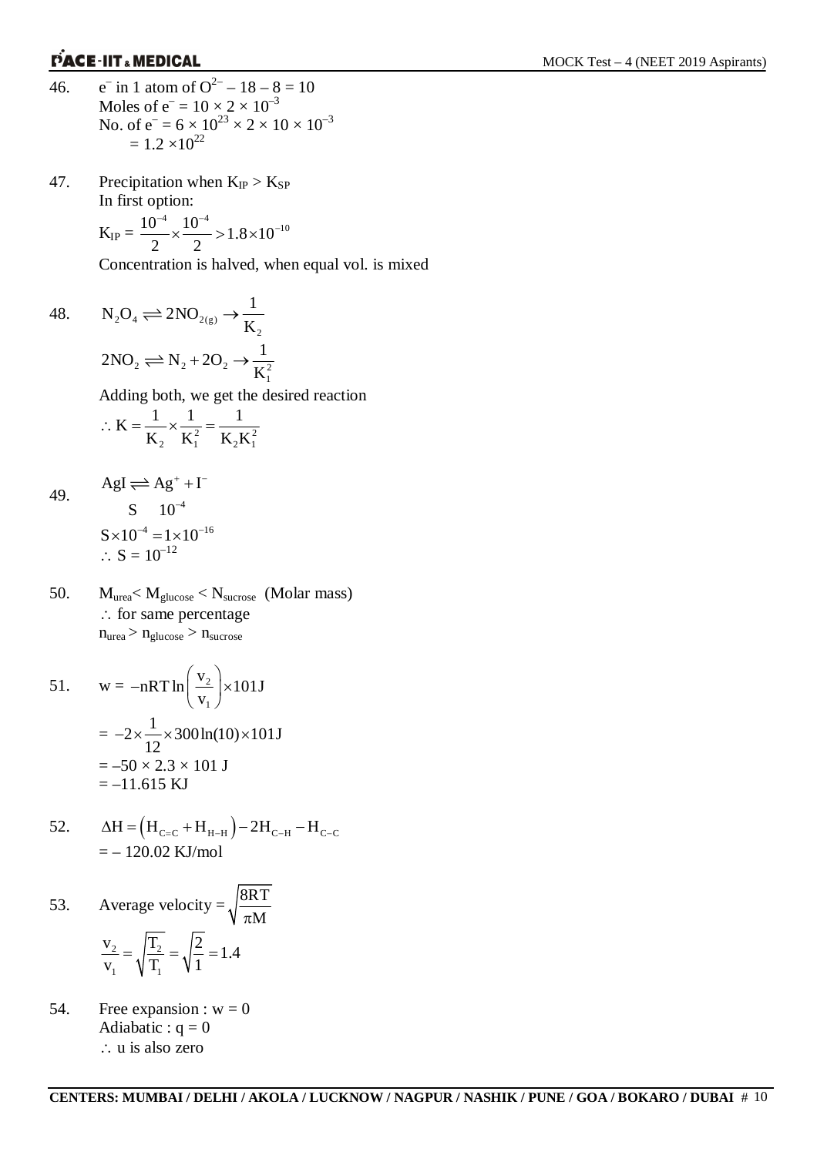- 46.  $\overline{\phantom{a}}$  in 1 atom of  $O^{2-} - 18 - 8 = 10$ Moles of  $e^- = 10 \times 2 \times 10^{-3}$ No. of  $e^- = 6 \times 10^{23} \times 2 \times 10 \times 10^{-3}$  $= 1.2 \times 10^{22}$
- 47. Precipitation when  $K_{IP} > K_{SP}$ In first option:

$$
K_{IP} = \frac{10^{-4}}{2} \times \frac{10^{-4}}{2} > 1.8 \times 10^{-10}
$$

Concentration is halved, when equal vol. is mixed

48. 
$$
N_2O_4 \rightleftharpoons 2NO_{2(g)} \rightarrow \frac{1}{K_2}
$$
  
\n $2NO_2 \rightleftharpoons N_2 + 2O_2 \rightarrow \frac{1}{K_1^2}$   
\nAdding both, we get the desired reaction  
\n $\therefore K = \frac{1}{K_1} \times \frac{1}{K_2^2} = \frac{1}{K_1 K_2^2}$ 

49. 
$$
AgI \rightleftharpoons Ag^{+} + I^{-}
$$
  
\n
$$
S \quad 10^{-4}
$$
  
\n
$$
S \times 10^{-4} = 1 \times 10^{-16}
$$
  
\n
$$
\therefore S = 10^{-12}
$$

50.  $M_{\text{urea}} < M_{\text{glucose}} < N_{\text{surrose}}$  (Molar mass)  $\therefore$  for same percentage  $n_{\text{urea}} > n_{\text{glucose}} > n_{\text{surrose}}$ 

2  $\mathbf{R}_1$   $\mathbf{R}_2 \mathbf{R}_1$ 

 $K_2$   $K_1^2$   $K_2K$ 

51. 
$$
w = -nRT \ln \left( \frac{v_2}{v_1} \right) \times 101J
$$

$$
= -2 \times \frac{1}{12} \times 300 \ln(10) \times 101J
$$

$$
= -50 \times 2.3 \times 101 J
$$

$$
= -11.615 KJ
$$

52. 
$$
\Delta H = (H_{C=C} + H_{H-H}) - 2H_{C-H} - H_{C-C}
$$

$$
= - 120.02 \text{ KJ/mol}
$$

53. Average velocity = 
$$
\sqrt{\frac{8RT}{\pi M}}
$$
  

$$
\frac{v_2}{v_1} = \sqrt{\frac{T_2}{T_1}} = \sqrt{\frac{2}{1}} = 1.4
$$

54. Free expansion :  $w = 0$ Adiabatic :  $q = 0$ ∴ u is also zero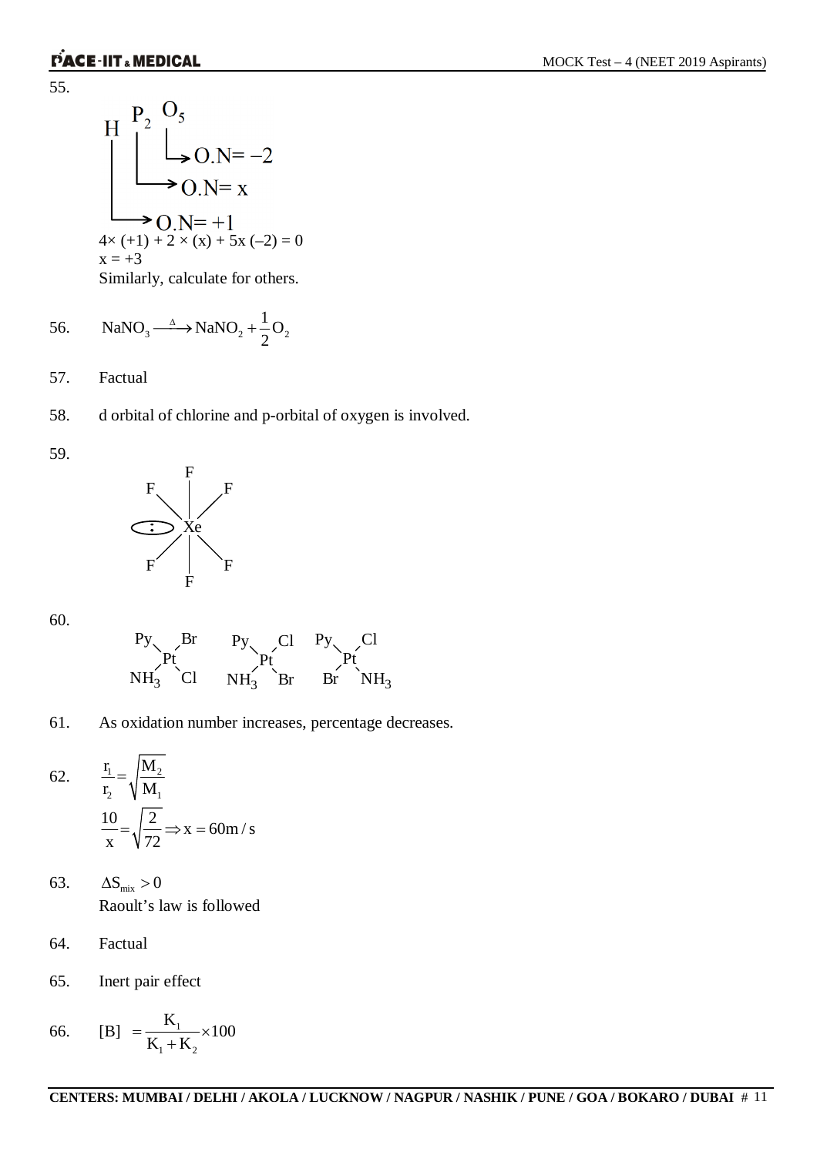55.

H 
$$
\left.\begin{array}{l}\n P_2 \quad O_5 \\
\downarrow \\
O.N = -2\n \end{array}\right.
$$
  
\n $\rightarrow$  O.N = x  
\n $\rightarrow$  O.N = +1  
\n4× (+1) + 2 × (x) + 5x (-2) = 0  
\nx = +3  
\nSimilarly, calculate for others.

56. 
$$
\text{NaNO}_3 \xrightarrow{\Delta} \text{NaNO}_2 + \frac{1}{2}\text{O}_2
$$

57. Factual

- 58. d orbital of chlorine and p-orbital of oxygen is involved.
- 59.



60.



61. As oxidation number increases, percentage decreases.

62. 
$$
\frac{r_1}{r_2} = \sqrt{\frac{M_2}{M_1}}
$$

$$
\frac{10}{x} = \sqrt{\frac{2}{72}} \Rightarrow x = 60 \text{ m/s}
$$

- 63.  $\Delta S_{\text{mix}} > 0$ Raoult's law is followed
- 64. Factual
- 65. Inert pair effect

66. [B] = 
$$
\frac{K_1}{K_1 + K_2} \times 100
$$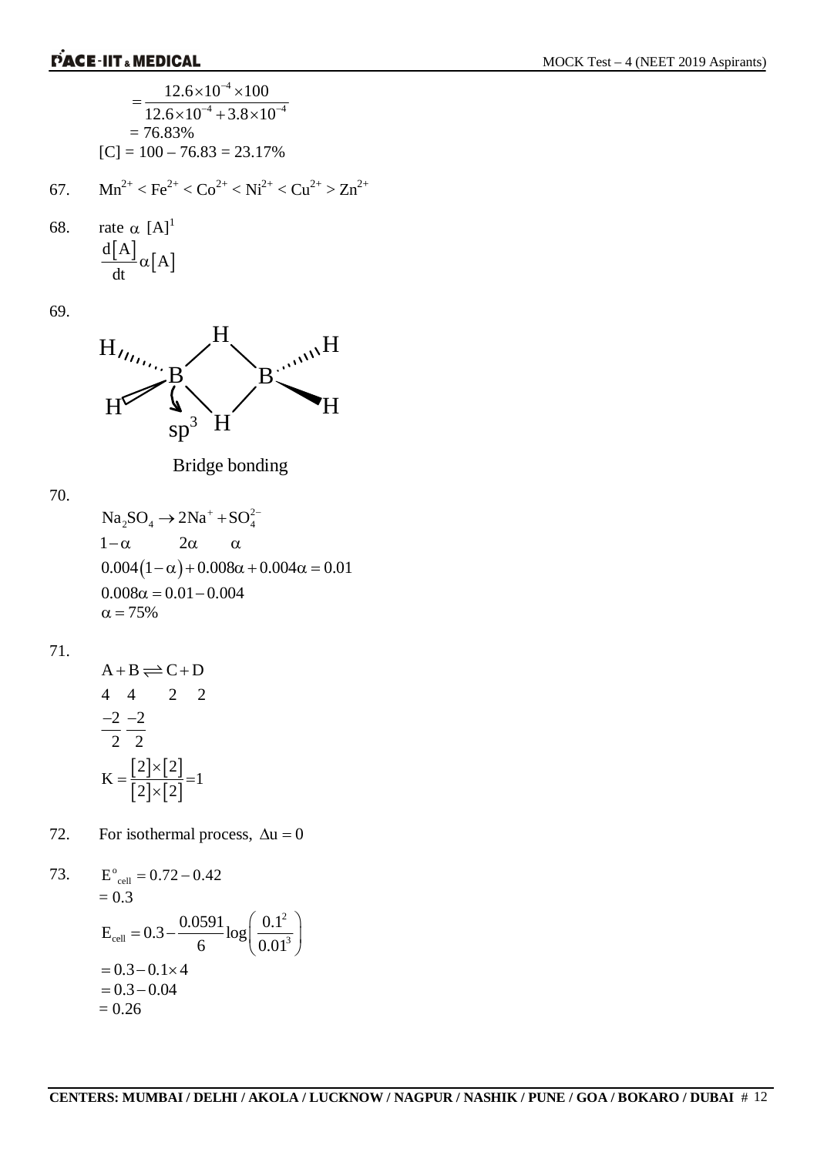

73. 
$$
E_{cell}^{\circ} = 0.72 - 0.42
$$
  
\n $= 0.3$   
\n $E_{cell} = 0.3 - \frac{0.0591}{6} \log \left( \frac{0.1^2}{0.01^3} \right)$   
\n $= 0.3 - 0.1 \times 4$   
\n $= 0.3 - 0.04$   
\n $= 0.26$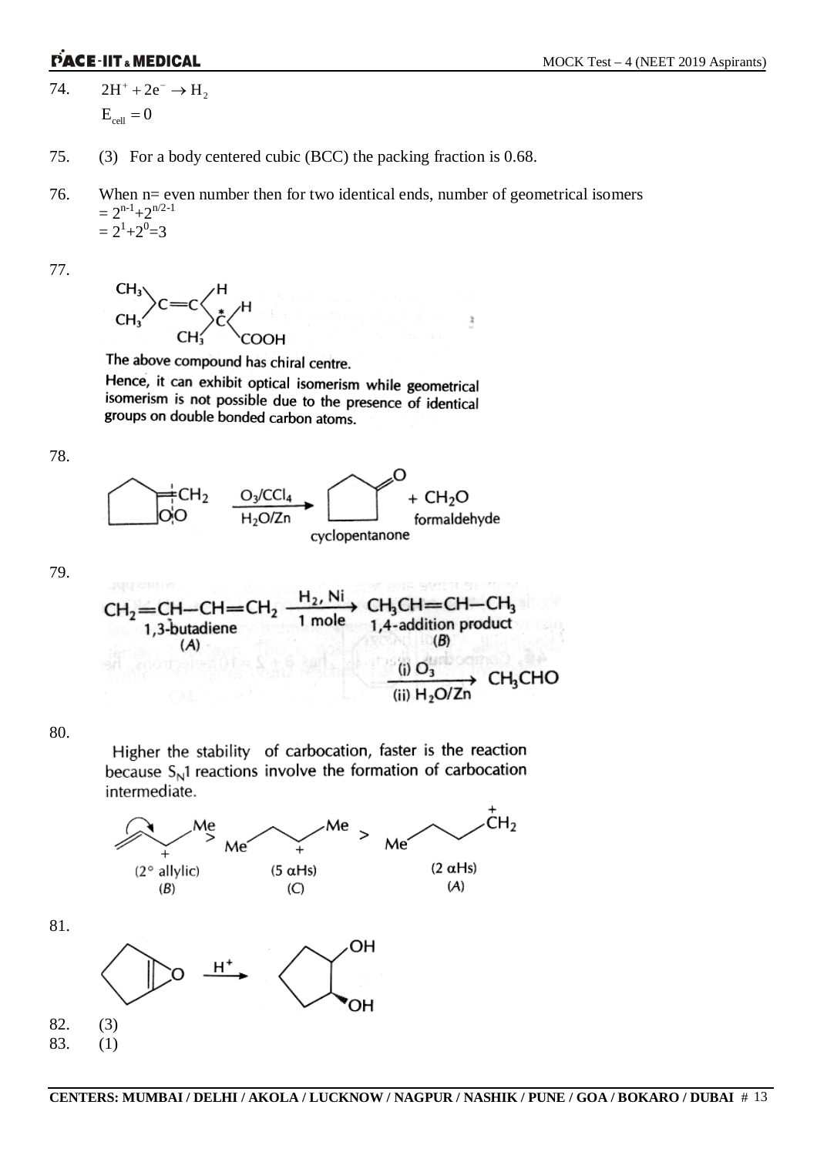74.  $2H^+ + 2e^- \rightarrow H_2$  $E_{cell} = 0$ 

- 75. (3) For a body centered cubic (BCC) the packing fraction is 0.68.
- 76. When n= even number then for two identical ends, number of geometrical isomers  $= 2^{n-1} + 2^{n/2-1}$  $= 2^1 + 2^0 = 3$

 $\ddot{\rm x}$ 

77.



The above compound has chiral centre.

Hence, it can exhibit optical isomerism while geometrical isomerism is not possible due to the presence of identical groups on double bonded carbon atoms.

78.



79.



80.

81.

Higher the stability of carbocation, faster is the reaction because  $S_N$ 1 reactions involve the formation of carbocation intermediate.



82. (3) 83. (1)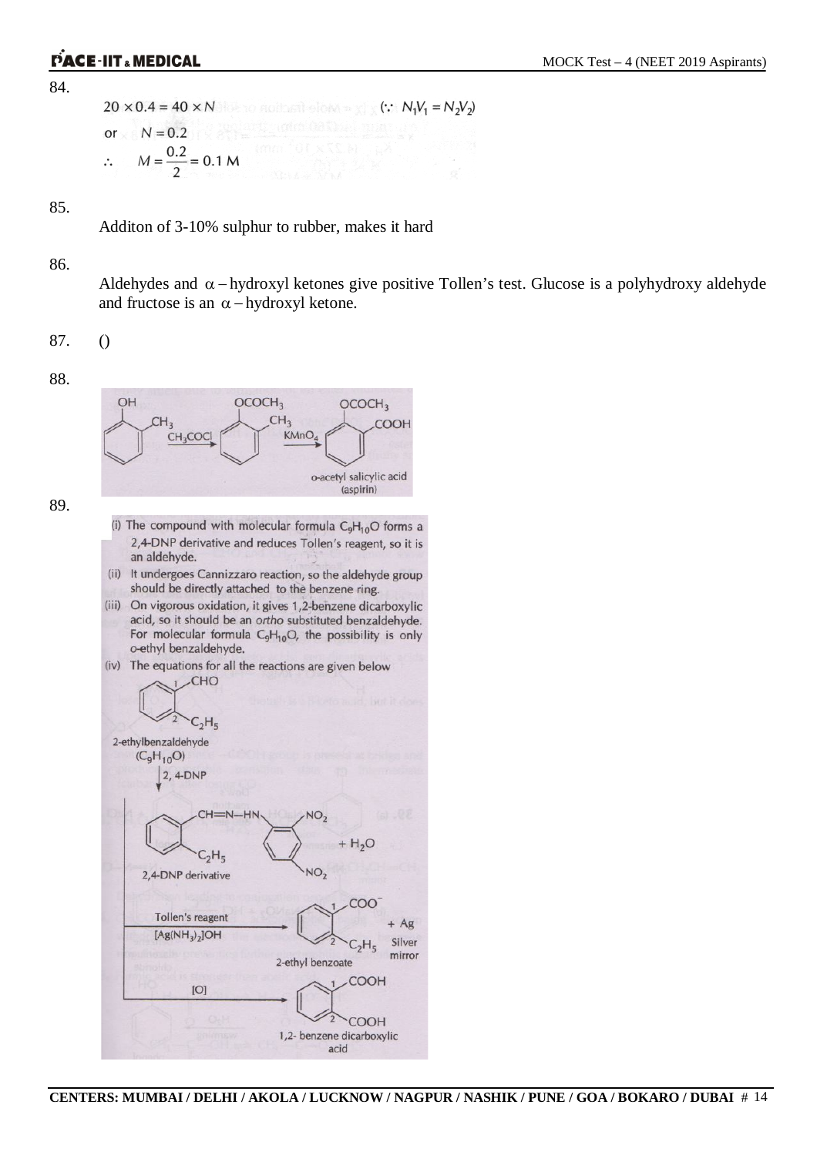84.

```
20 \times 0.4 = 40 \times N(: N_1V_1 = N_2V_2)N = 0.2or
    M = \frac{0.2}{2} = 0.1 M\ddot{\cdot}
```
85.

Additon of 3-10% sulphur to rubber, makes it hard

#### 86.

Aldehydes and  $\alpha$  – hydroxyl ketones give positive Tollen's test. Glucose is a polyhydroxy aldehyde and fructose is an  $\alpha$  – hydroxyl ketone.

87. ()

88.



89.

- (i) The compound with molecular formula  $C_9H_{10}O$  forms a 2,4-DNP derivative and reduces Tollen's reagent, so it is an aldehyde.
- (ii) It undergoes Cannizzaro reaction, so the aldehyde group should be directly attached to the benzene ring.
- (iii) On vigorous oxidation, it gives 1,2-benzene dicarboxylic acid, so it should be an ortho substituted benzaldehyde. For molecular formula  $C_9H_{10}O$ , the possibility is only o-ethyl benzaldehyde.
- (iv) The equations for all the reactions are given below

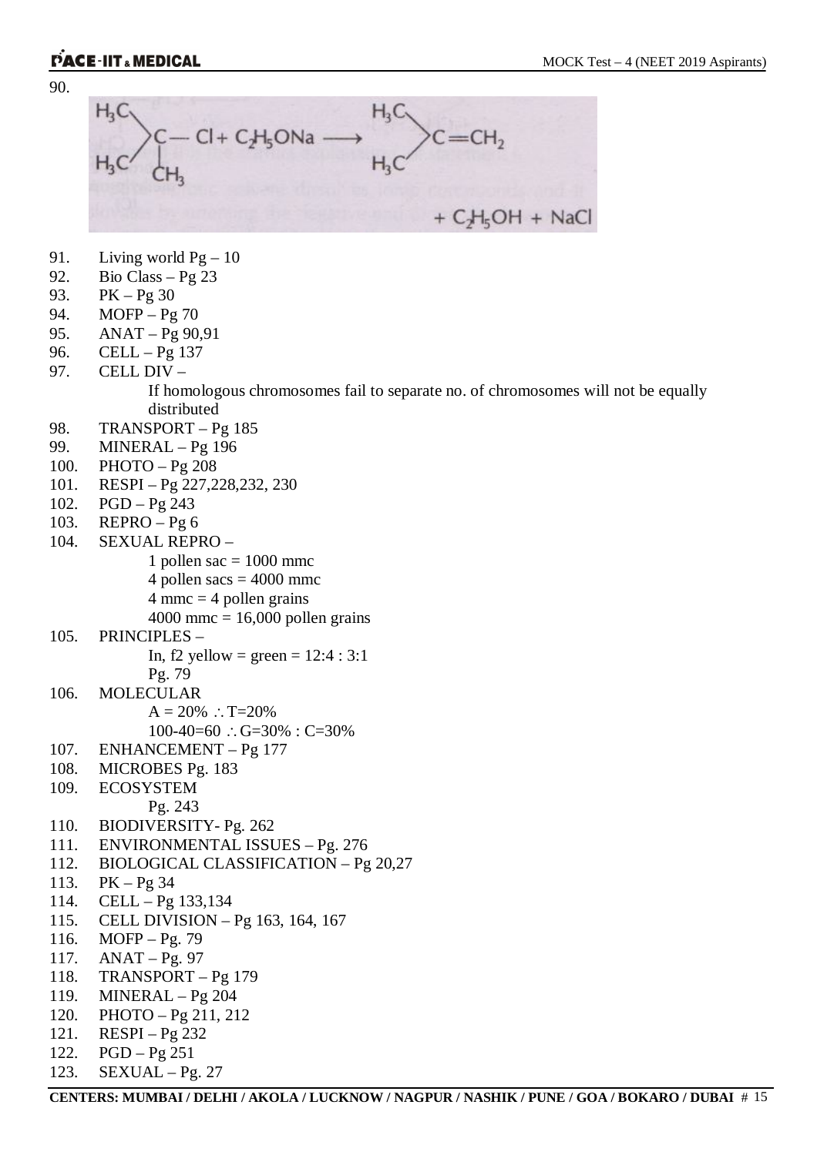



- 91. Living world  $Pg 10$
- 92. Bio Class Pg 23
- 93. PK Pg 30
- 94. MOFP Pg 70
- 95. ANAT Pg 90,91
- 96. CELL Pg 137
- 97. CELL DIV –

If homologous chromosomes fail to separate no. of chromosomes will not be equally distributed

- 98. TRANSPORT Pg 185
- 99. MINERAL Pg 196
- 100. PHOTO Pg 208
- 101. RESPI Pg 227,228,232, 230
- 102. PGD Pg 243
- 103. REPRO Pg 6
- 104. SEXUAL REPRO
	- 1 pollen sac  $= 1000$  mmc
	- 4 pollen sacs  $=$  4000 mmc
	- $4$  mmc = 4 pollen grains
	- $4000$  mmc = 16,000 pollen grains
- 105. PRINCIPLES
	- In, f2 yellow = green =  $12:4:3:1$
- Pg. 79
- 106. MOLECULAR
	- $A = 20\%$  : T=20%
		- $100-40=60$  :  $G=30\%$  :  $C=30\%$
- 107. ENHANCEMENT Pg 177
- 108. MICROBES Pg. 183
- 109. ECOSYSTEM
	- Pg. 243
- 110. BIODIVERSITY- Pg. 262
- 111. ENVIRONMENTAL ISSUES Pg. 276
- 112. BIOLOGICAL CLASSIFICATION Pg 20,27
- 113. PK Pg 34
- 114. CELL Pg 133,134
- 115. CELL DIVISION Pg 163, 164, 167
- 116. MOFP Pg. 79
- 117. ANAT Pg. 97
- 118. TRANSPORT Pg 179
- 119. MINERAL Pg 204
- 120. PHOTO Pg 211, 212
- 121. RESPI Pg 232
- 122. PGD Pg 251
- 123. SEXUAL Pg. 27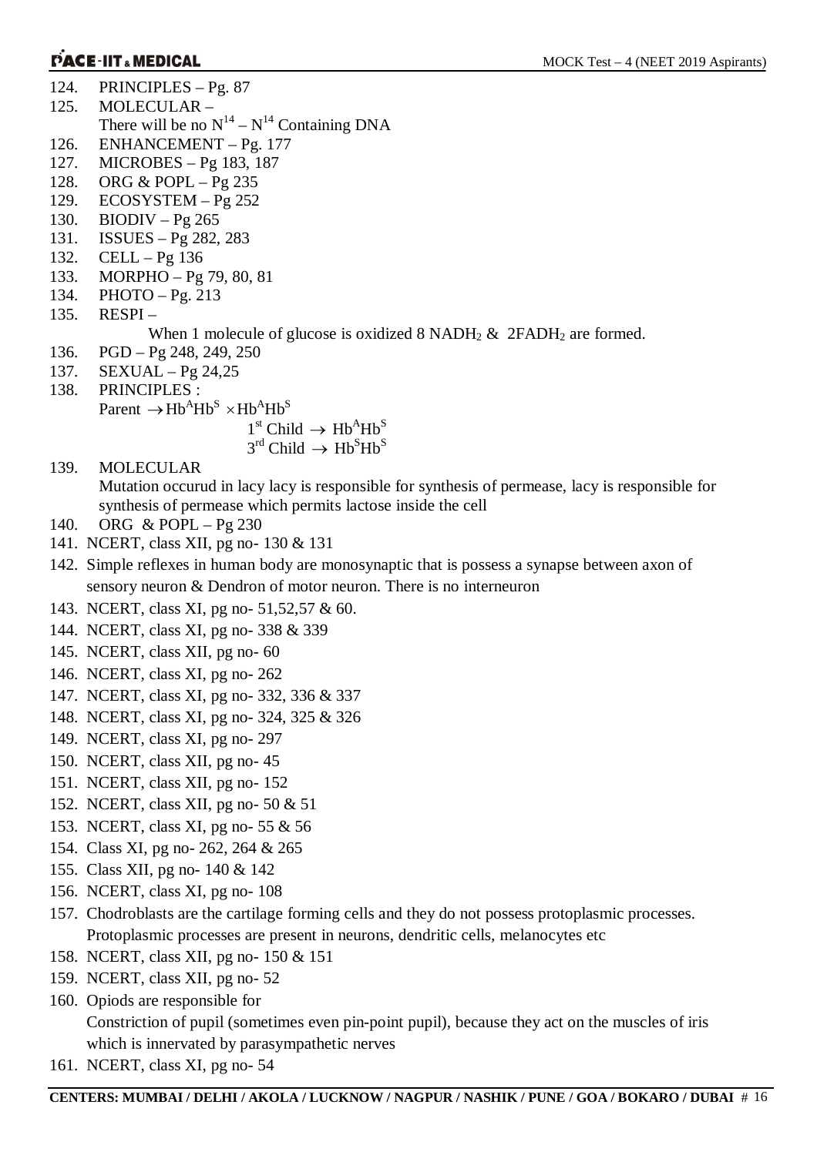- 124. PRINCIPLES Pg. 87
- 125. MOLECULAR –
- There will be no  $N^{14} N^{14}$  Containing DNA
- 126. ENHANCEMENT Pg. 177
- 127. MICROBES Pg 183, 187
- 128. ORG & POPL Pg 235
- 129. ECOSYSTEM Pg 252
- 130. BIODIV Pg 265
- 131. ISSUES Pg 282, 283
- 132. CELL Pg 136
- 133. MORPHO Pg 79, 80, 81
- 134. PHOTO Pg. 213
- 135. RESPI –

When 1 molecule of glucose is oxidized 8 NADH<sub>2</sub> & 2FADH<sub>2</sub> are formed.

- 136. PGD Pg 248, 249, 250
- 137. SEXUAL Pg 24,25
- 138. PRINCIPLES :
- Parent  $\rightarrow$  Hb<sup>A</sup>Hb<sup>S</sup>  $\times$  Hb<sup>A</sup>Hb<sup>S</sup>

$$
1^{\text{st}}
$$
Child  $\rightarrow$  Hb<sup>A</sup>Hb<sup>S</sup>

- $3^{\text{rd}}$  Child  $\rightarrow$  Hb<sup>S</sup>Hb<sup>S</sup>
- 139. MOLECULAR

Mutation occurud in lacy lacy is responsible for synthesis of permease, lacy is responsible for synthesis of permease which permits lactose inside the cell

- 140. ORG & POPL Pg 230
- 141. NCERT, class XII, pg no- 130 & 131
- 142. Simple reflexes in human body are monosynaptic that is possess a synapse between axon of sensory neuron & Dendron of motor neuron. There is no interneuron
- 143. NCERT, class XI, pg no- 51,52,57 & 60.
- 144. NCERT, class XI, pg no- 338 & 339
- 145. NCERT, class XII, pg no- 60
- 146. NCERT, class XI, pg no- 262
- 147. NCERT, class XI, pg no- 332, 336 & 337
- 148. NCERT, class XI, pg no- 324, 325 & 326
- 149. NCERT, class XI, pg no- 297
- 150. NCERT, class XII, pg no- 45
- 151. NCERT, class XII, pg no- 152
- 152. NCERT, class XII, pg no- 50 & 51
- 153. NCERT, class XI, pg no- 55 & 56
- 154. Class XI, pg no- 262, 264 & 265
- 155. Class XII, pg no- 140 & 142
- 156. NCERT, class XI, pg no- 108
- 157. Chodroblasts are the cartilage forming cells and they do not possess protoplasmic processes. Protoplasmic processes are present in neurons, dendritic cells, melanocytes etc
- 158. NCERT, class XII, pg no- 150 & 151
- 159. NCERT, class XII, pg no- 52
- 160. Opiods are responsible for Constriction of pupil (sometimes even pin-point pupil), because they act on the muscles of iris which is innervated by parasympathetic nerves
- 161. NCERT, class XI, pg no- 54